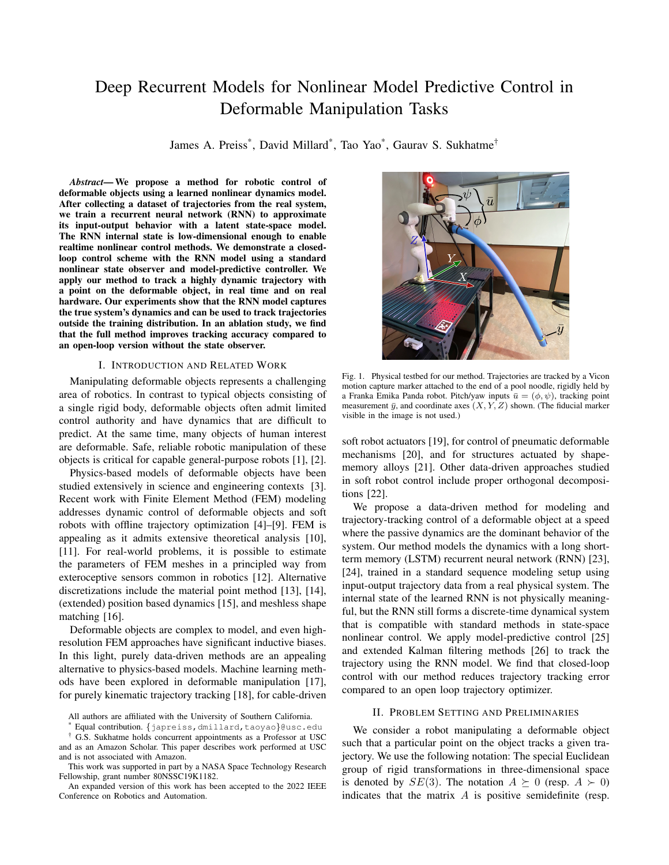# Deep Recurrent Models for Nonlinear Model Predictive Control in Deformable Manipulation Tasks

James A. Preiss\* , David Millard\* , Tao Yao\* , Gaurav S. Sukhatme†

*Abstract*— We propose a method for robotic control of deformable objects using a learned nonlinear dynamics model. After collecting a dataset of trajectories from the real system, we train a recurrent neural network (RNN) to approximate its input-output behavior with a latent state-space model. The RNN internal state is low-dimensional enough to enable realtime nonlinear control methods. We demonstrate a closedloop control scheme with the RNN model using a standard nonlinear state observer and model-predictive controller. We apply our method to track a highly dynamic trajectory with a point on the deformable object, in real time and on real hardware. Our experiments show that the RNN model captures the true system's dynamics and can be used to track trajectories outside the training distribution. In an ablation study, we find that the full method improves tracking accuracy compared to an open-loop version without the state observer.

## I. INTRODUCTION AND RELATED WORK

Manipulating deformable objects represents a challenging area of robotics. In contrast to typical objects consisting of a single rigid body, deformable objects often admit limited control authority and have dynamics that are difficult to predict. At the same time, many objects of human interest are deformable. Safe, reliable robotic manipulation of these objects is critical for capable general-purpose robots [1], [2].

Physics-based models of deformable objects have been studied extensively in science and engineering contexts [3]. Recent work with Finite Element Method (FEM) modeling addresses dynamic control of deformable objects and soft robots with offline trajectory optimization [4]–[9]. FEM is appealing as it admits extensive theoretical analysis [10], [11]. For real-world problems, it is possible to estimate the parameters of FEM meshes in a principled way from exteroceptive sensors common in robotics [12]. Alternative discretizations include the material point method [13], [14], (extended) position based dynamics [15], and meshless shape matching [16].

Deformable objects are complex to model, and even highresolution FEM approaches have significant inductive biases. In this light, purely data-driven methods are an appealing alternative to physics-based models. Machine learning methods have been explored in deformable manipulation [17], for purely kinematic trajectory tracking [18], for cable-driven



Fig. 1. Physical testbed for our method. Trajectories are tracked by a Vicon motion capture marker attached to the end of a pool noodle, rigidly held by a Franka Emika Panda robot. Pitch/yaw inputs  $\bar{u} = (\phi, \psi)$ , tracking point measurement  $\bar{y}$ , and coordinate axes  $(X, Y, Z)$  shown. (The fiducial marker visible in the image is not used.)

soft robot actuators [19], for control of pneumatic deformable mechanisms [20], and for structures actuated by shapememory alloys [21]. Other data-driven approaches studied in soft robot control include proper orthogonal decompositions [22].

We propose a data-driven method for modeling and trajectory-tracking control of a deformable object at a speed where the passive dynamics are the dominant behavior of the system. Our method models the dynamics with a long shortterm memory (LSTM) recurrent neural network (RNN) [23], [24], trained in a standard sequence modeling setup using input-output trajectory data from a real physical system. The internal state of the learned RNN is not physically meaningful, but the RNN still forms a discrete-time dynamical system that is compatible with standard methods in state-space nonlinear control. We apply model-predictive control [25] and extended Kalman filtering methods [26] to track the trajectory using the RNN model. We find that closed-loop control with our method reduces trajectory tracking error compared to an open loop trajectory optimizer.

## II. PROBLEM SETTING AND PRELIMINARIES

We consider a robot manipulating a deformable object such that a particular point on the object tracks a given trajectory. We use the following notation: The special Euclidean group of rigid transformations in three-dimensional space is denoted by  $SE(3)$ . The notation  $A \succeq 0$  (resp.  $A \succ 0$ ) indicates that the matrix  $A$  is positive semidefinite (resp.

All authors are affiliated with the University of Southern California.

Equal contribution. {japreiss,dmillard,taoyao}@usc.edu

<sup>†</sup> G.S. Sukhatme holds concurrent appointments as a Professor at USC and as an Amazon Scholar. This paper describes work performed at USC and is not associated with Amazon.

This work was supported in part by a NASA Space Technology Research Fellowship, grant number 80NSSC19K1182.

An expanded version of this work has been accepted to the 2022 IEEE Conference on Robotics and Automation.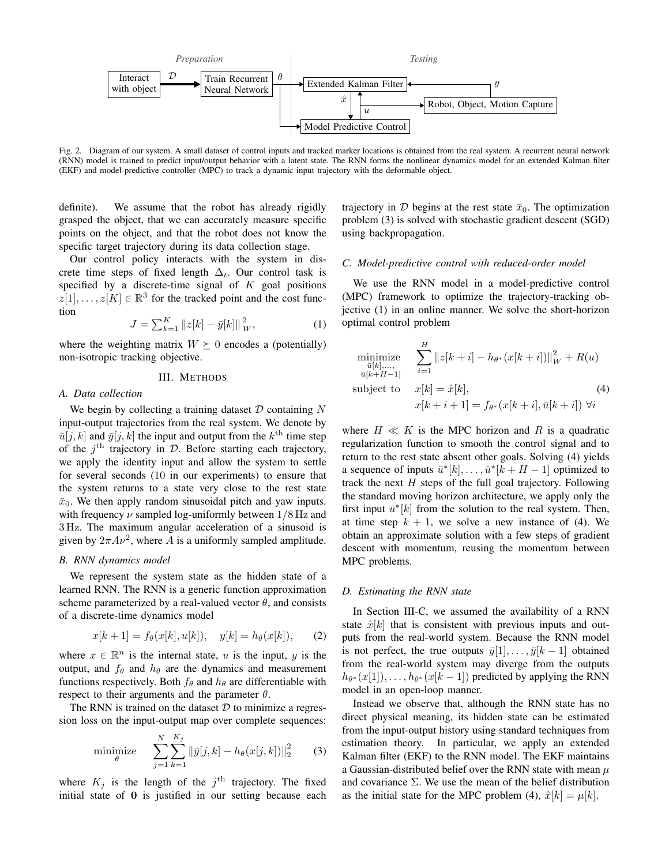

Fig. 2. Diagram of our system. A small dataset of control inputs and tracked marker locations is obtained from the real system. A recurrent neural network (RNN) model is trained to predict input/output behavior with a latent state. The RNN forms the nonlinear dynamics model for an extended Kalman filter (EKF) and model-predictive controller (MPC) to track a dynamic input trajectory with the deformable object.

definite). We assume that the robot has already rigidly grasped the object, that we can accurately measure specific points on the object, and that the robot does not know the specific target trajectory during its data collection stage.

Our control policy interacts with the system in discrete time steps of fixed length  $\Delta_t$ . Our control task is specified by a discrete-time signal of  $K$  goal positions  $z[1], \ldots, z[K] \in \mathbb{R}^3$  for the tracked point and the cost function

$$
J = \sum_{k=1}^{K} ||z[k] - \bar{y}[k]||_{W}^{2},
$$
 (1)

where the weighting matrix  $W \succeq 0$  encodes a (potentially) non-isotropic tracking objective.

## III. METHODS

## *A. Data collection*

We begin by collecting a training dataset  $D$  containing  $N$ input-output trajectories from the real system. We denote by  $\bar{u}[j,k]$  and  $\bar{y}[j,k]$  the input and output from the  $k^{\text{th}}$  time step of the  $j^{\text{th}}$  trajectory in  $D$ . Before starting each trajectory, we apply the identity input and allow the system to settle for several seconds (10 in our experiments) to ensure that the system returns to a state very close to the rest state  $\bar{x}_0$ . We then apply random sinusoidal pitch and yaw inputs. with frequency  $\nu$  sampled log-uniformly between  $1/8$  Hz and 3 Hz. The maximum angular acceleration of a sinusoid is given by  $2\pi A \nu^2$ , where A is a uniformly sampled amplitude.

## *B. RNN dynamics model*

We represent the system state as the hidden state of a learned RNN. The RNN is a generic function approximation scheme parameterized by a real-valued vector  $\theta$ , and consists of a discrete-time dynamics model

$$
x[k+1] = f_{\theta}(x[k], u[k]), \quad y[k] = h_{\theta}(x[k]), \quad (2)
$$

where  $x \in \mathbb{R}^n$  is the internal state, u is the input, y is the output, and  $f_{\theta}$  and  $h_{\theta}$  are the dynamics and measurement functions respectively. Both  $f_\theta$  and  $h_\theta$  are differentiable with respect to their arguments and the parameter  $\theta$ .

The RNN is trained on the dataset  $D$  to minimize a regression loss on the input-output map over complete sequences:

minimize 
$$
\sum_{j=1}^{N} \sum_{k=1}^{K_j} ||\bar{y}[j,k] - h_{\theta}(x[j,k])||_2^2
$$
 (3)

where  $K_j$  is the length of the  $j^{\text{th}}$  trajectory. The fixed initial state of 0 is justified in our setting because each trajectory in D begins at the rest state  $\bar{x}_0$ . The optimization problem (3) is solved with stochastic gradient descent (SGD) using backpropagation.

## *C. Model-predictive control with reduced-order model*

We use the RNN model in a model-predictive control (MPC) framework to optimize the trajectory-tracking objective (1) in an online manner. We solve the short-horizon optimal control problem

minimize  
\n
$$
\sum_{\substack{\bar{u}[k],..., \\ \bar{u}[k+H-1]}}^H \|z[k+i] - h_{\theta^*}(x[k+i])\|_W^2 + R(u)
$$
\nsubject to  
\n
$$
x[k] = \hat{x}[k],
$$
\n(4)  
\n
$$
x[k+i+1] = f_{\theta^*}(x[k+i], \bar{u}[k+i]) \,\forall i
$$

where  $H \ll K$  is the MPC horizon and R is a quadratic regularization function to smooth the control signal and to return to the rest state absent other goals. Solving (4) yields a sequence of inputs  $\bar{u}^*[k], \ldots, \bar{u}^*[k+H-1]$  optimized to track the next  $H$  steps of the full goal trajectory. Following the standard moving horizon architecture, we apply only the first input  $\bar{u}^*[k]$  from the solution to the real system. Then, at time step  $k + 1$ , we solve a new instance of (4). We obtain an approximate solution with a few steps of gradient descent with momentum, reusing the momentum between MPC problems.

#### *D. Estimating the RNN state*

In Section III-C, we assumed the availability of a RNN state  $\hat{x}[k]$  that is consistent with previous inputs and outputs from the real-world system. Because the RNN model is not perfect, the true outputs  $\bar{y}[1], \ldots, \bar{y}[k-1]$  obtained from the real-world system may diverge from the outputs  $h_{\theta^*}(x[1]), \ldots, h_{\theta^*}(x[k-1])$  predicted by applying the RNN model in an open-loop manner.

Instead we observe that, although the RNN state has no direct physical meaning, its hidden state can be estimated from the input-output history using standard techniques from estimation theory. In particular, we apply an extended Kalman filter (EKF) to the RNN model. The EKF maintains a Gaussian-distributed belief over the RNN state with mean  $\mu$ and covariance  $\Sigma$ . We use the mean of the belief distribution as the initial state for the MPC problem (4),  $\hat{x}[k] = \mu[k]$ .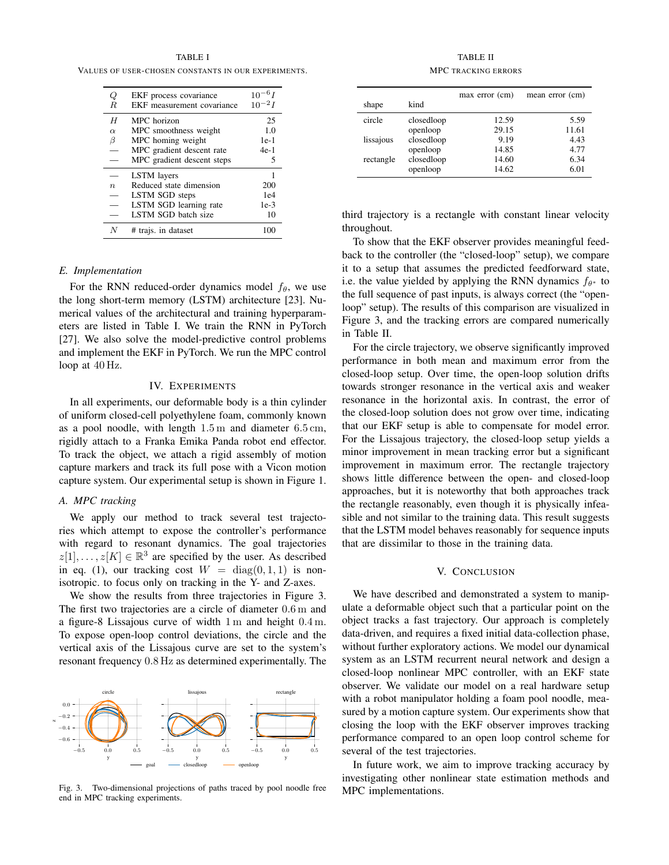TABLE I VALUES OF USER-CHOSEN CONSTANTS IN OUR EXPERIMENTS.

| Q<br>R           | EKF process covariance<br>EKF measurement covariance | $10^{-6}I$<br>$10^{-2}I$ |
|------------------|------------------------------------------------------|--------------------------|
| H                | MPC horizon                                          | 25                       |
| $\alpha$         | MPC smoothness weight                                | 1.0                      |
| β                | MPC homing weight                                    | $1e-1$                   |
|                  | MPC gradient descent rate                            | $4e-1$                   |
|                  | MPC gradient descent steps                           | 5                        |
|                  | <b>LSTM</b> layers                                   |                          |
| $\boldsymbol{n}$ | Reduced state dimension                              | 200                      |
|                  | LSTM SGD steps                                       | 1e4                      |
|                  | LSTM SGD learning rate                               | $1e-3$                   |
|                  | <b>LSTM SGD</b> batch size                           | 10                       |
|                  | # trajs. in dataset                                  |                          |

# *E. Implementation*

For the RNN reduced-order dynamics model  $f_{\theta}$ , we use the long short-term memory (LSTM) architecture [23]. Numerical values of the architectural and training hyperparameters are listed in Table I. We train the RNN in PyTorch [27]. We also solve the model-predictive control problems and implement the EKF in PyTorch. We run the MPC control loop at 40 Hz.

## IV. EXPERIMENTS

In all experiments, our deformable body is a thin cylinder of uniform closed-cell polyethylene foam, commonly known as a pool noodle, with length 1.5 m and diameter 6.5 cm, rigidly attach to a Franka Emika Panda robot end effector. To track the object, we attach a rigid assembly of motion capture markers and track its full pose with a Vicon motion capture system. Our experimental setup is shown in Figure 1.

### *A. MPC tracking*

We apply our method to track several test trajectories which attempt to expose the controller's performance with regard to resonant dynamics. The goal trajectories  $z[1], \ldots, z[K] \in \mathbb{R}^3$  are specified by the user. As described in eq. (1), our tracking cost  $W = diag(0, 1, 1)$  is nonisotropic. to focus only on tracking in the Y- and Z-axes.

We show the results from three trajectories in Figure 3. The first two trajectories are a circle of diameter 0.6 m and a figure-8 Lissajous curve of width 1 m and height 0.4 m. To expose open-loop control deviations, the circle and the vertical axis of the Lissajous curve are set to the system's resonant frequency 0.8 Hz as determined experimentally. The



Fig. 3. Two-dimensional projections of paths traced by pool noodle free end in MPC tracking experiments.

TABLE II MPC TRACKING ERRORS

|           |            | max error (cm) | mean error (cm) |
|-----------|------------|----------------|-----------------|
| shape     | kind       |                |                 |
| circle    | closedloop | 12.59          | 5.59            |
|           | openloop   | 29.15          | 11.61           |
| lissajous | closedloop | 9.19           | 4.43            |
|           | openloop   | 14.85          | 4.77            |
| rectangle | closedloop | 14.60          | 6.34            |
|           | openloop   | 14.62          | 6.01            |

third trajectory is a rectangle with constant linear velocity throughout.

To show that the EKF observer provides meaningful feedback to the controller (the "closed-loop" setup), we compare it to a setup that assumes the predicted feedforward state, i.e. the value yielded by applying the RNN dynamics  $f_{\theta^*}$  to the full sequence of past inputs, is always correct (the "openloop" setup). The results of this comparison are visualized in Figure 3, and the tracking errors are compared numerically in Table II.

For the circle trajectory, we observe significantly improved performance in both mean and maximum error from the closed-loop setup. Over time, the open-loop solution drifts towards stronger resonance in the vertical axis and weaker resonance in the horizontal axis. In contrast, the error of the closed-loop solution does not grow over time, indicating that our EKF setup is able to compensate for model error. For the Lissajous trajectory, the closed-loop setup yields a minor improvement in mean tracking error but a significant improvement in maximum error. The rectangle trajectory shows little difference between the open- and closed-loop approaches, but it is noteworthy that both approaches track the rectangle reasonably, even though it is physically infeasible and not similar to the training data. This result suggests that the LSTM model behaves reasonably for sequence inputs that are dissimilar to those in the training data.

# V. CONCLUSION

We have described and demonstrated a system to manipulate a deformable object such that a particular point on the object tracks a fast trajectory. Our approach is completely data-driven, and requires a fixed initial data-collection phase, without further exploratory actions. We model our dynamical system as an LSTM recurrent neural network and design a closed-loop nonlinear MPC controller, with an EKF state observer. We validate our model on a real hardware setup with a robot manipulator holding a foam pool noodle, measured by a motion capture system. Our experiments show that closing the loop with the EKF observer improves tracking performance compared to an open loop control scheme for several of the test trajectories.

In future work, we aim to improve tracking accuracy by investigating other nonlinear state estimation methods and MPC implementations.